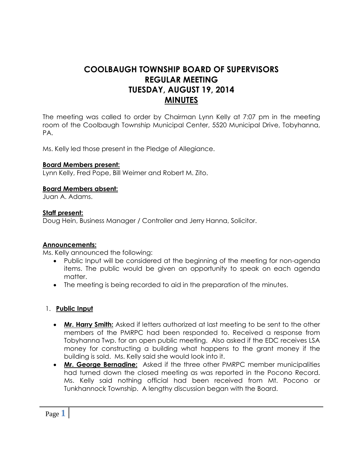# **COOLBAUGH TOWNSHIP BOARD OF SUPERVISORS REGULAR MEETING TUESDAY, AUGUST 19, 2014 MINUTES**

The meeting was called to order by Chairman Lynn Kelly at 7:07 pm in the meeting room of the Coolbaugh Township Municipal Center, 5520 Municipal Drive, Tobyhanna, PA.

Ms. Kelly led those present in the Pledge of Allegiance.

#### **Board Members present:**

Lynn Kelly, Fred Pope, Bill Weimer and Robert M. Zito.

## **Board Members absent:**

Juan A. Adams.

## **Staff present:**

Doug Hein, Business Manager / Controller and Jerry Hanna, Solicitor.

#### **Announcements:**

Ms. Kelly announced the following:

- Public Input will be considered at the beginning of the meeting for non-agenda items. The public would be given an opportunity to speak on each agenda matter.
- The meeting is being recorded to aid in the preparation of the minutes.

#### 1. **Public Input**

- **Mr. Harry Smith:** Asked if letters authorized at last meeting to be sent to the other members of the PMRPC had been responded to. Received a response from Tobyhanna Twp. for an open public meeting. Also asked if the EDC receives LSA money for constructing a building what happens to the grant money if the building is sold. Ms. Kelly said she would look into it.
- **Mr. George Bernadine:** Asked if the three other PMRPC member municipalities had turned down the closed meeting as was reported in the Pocono Record. Ms. Kelly said nothing official had been received from Mt. Pocono or Tunkhannock Township. A lengthy discussion began with the Board.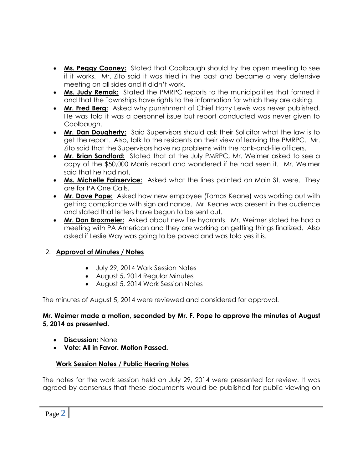- **Ms. Peggy Cooney:** Stated that Coolbaugh should try the open meeting to see if it works. Mr. Zito said it was tried in the past and became a very defensive meeting on all sides and it didn't work.
- **Ms. Judy Remak:** Stated the PMRPC reports to the municipalities that formed it and that the Townships have rights to the information for which they are asking.
- **Mr. Fred Berg:** Asked why punishment of Chief Harry Lewis was never published. He was told it was a personnel issue but report conducted was never given to Coolbaugh.
- **Mr. Dan Dougherty:** Said Supervisors should ask their Solicitor what the law is to get the report. Also, talk to the residents on their view of leaving the PMRPC. Mr. Zito said that the Supervisors have no problems with the rank-and-file officers.
- **Mr. Brian Sandford:** Stated that at the July PMRPC, Mr. Weimer asked to see a copy of the \$50,000 Morris report and wondered if he had seen it. Mr. Weimer said that he had not.
- **Ms. Michelle Fairservice:** Asked what the lines painted on Main St. were. They are for PA One Calls.
- **Mr. Dave Pope:** Asked how new employee (Tomas Keane) was working out with getting compliance with sign ordinance. Mr. Keane was present in the audience and stated that letters have begun to be sent out.
- **Mr. Dan Broxmeier:** Asked about new fire hydrants. Mr. Weimer stated he had a meeting with PA American and they are working on getting things finalized. Also asked if Leslie Way was going to be paved and was told yes it is.

# 2. **Approval of Minutes / Notes**

- July 29, 2014 Work Session Notes
- August 5, 2014 Regular Minutes
- August 5, 2014 Work Session Notes

The minutes of August 5, 2014 were reviewed and considered for approval.

## **Mr. Weimer made a motion, seconded by Mr. F. Pope to approve the minutes of August 5, 2014 as presented.**

- **Discussion:** None
- **Vote: All in Favor. Motion Passed.**

# **Work Session Notes / Public Hearing Notes**

The notes for the work session held on July 29, 2014 were presented for review. It was agreed by consensus that these documents would be published for public viewing on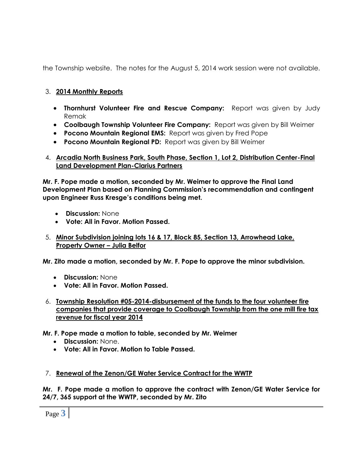the Township website. The notes for the August 5, 2014 work session were not available.

## 3. **2014 Monthly Reports**

- **Thornhurst Volunteer Fire and Rescue Company:** Report was given by Judy Remak
- **Coolbaugh Township Volunteer Fire Company:** Report was given by Bill Weimer
- **Pocono Mountain Regional EMS:** Report was given by Fred Pope
- **Pocono Mountain Regional PD:** Report was given by Bill Weimer

## 4. **Arcadia North Business Park, South Phase, Section 1, Lot 2, Distribution Center-Final Land Development Plan-Clarius Partners**

**Mr. F. Pope made a motion, seconded by Mr. Weimer to approve the Final Land Development Plan based on Planning Commission's recommendation and contingent upon Engineer Russ Kresge's conditions being met.**

- **Discussion:** None
- **Vote: All in Favor. Motion Passed.**

## 5. **Minor Subdivision joining lots 16 & 17, Block 85, Section 13, Arrowhead Lake, Property Owner – Julia Belfor**

**Mr. Zito made a motion, seconded by Mr. F. Pope to approve the minor subdivision.**

- **Discussion:** None
- **Vote: All in Favor. Motion Passed.**
- 6. **Township Resolution #05-2014-disbursement of the funds to the four volunteer fire companies that provide coverage to Coolbaugh Township from the one mill fire tax revenue for fiscal year 2014**
- **Mr. F. Pope made a motion to table, seconded by Mr. Weimer** 
	- **Discussion:** None.
	- **Vote: All in Favor. Motion to Table Passed.**

# 7. **Renewal of the Zenon/GE Water Service Contract for the WWTP**

**Mr. F. Pope made a motion to approve the contract with Zenon/GE Water Service for 24/7, 365 support at the WWTP, seconded by Mr. Zito**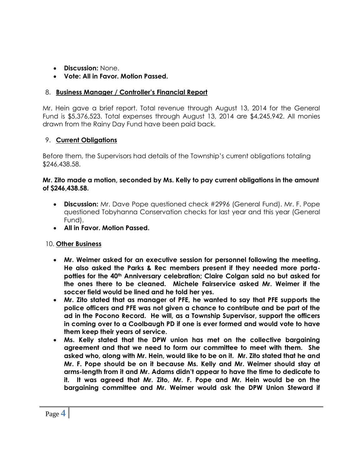- **Discussion:** None.
- **Vote: All in Favor. Motion Passed.**

# 8. **Business Manager / Controller's Financial Report**

Mr. Hein gave a brief report. Total revenue through August 13, 2014 for the General Fund is \$5,376,523. Total expenses through August 13, 2014 are \$4,245,942. All monies drawn from the Rainy Day Fund have been paid back.

# 9. **Current Obligations**

Before them, the Supervisors had details of the Township's current obligations totaling \$246,438.58.

## **Mr. Zito made a motion, seconded by Ms. Kelly to pay current obligations in the amount of \$246,438.58.**

- **Discussion:** Mr. Dave Pope questioned check #2996 (General Fund). Mr. F. Pope questioned Tobyhanna Conservation checks for last year and this year (General Fund).
- **All in Favor. Motion Passed.**

# 10. **Other Business**

- **Mr. Weimer asked for an executive session for personnel following the meeting. He also asked the Parks & Rec members present if they needed more portapotties for the 40th Anniversary celebration; Claire Colgan said no but asked for the ones there to be cleaned. Michele Fairservice asked Mr. Weimer if the soccer field would be lined and he told her yes.**
- **Mr. Zito stated that as manager of PFE, he wanted to say that PFE supports the police officers and PFE was not given a chance to contribute and be part of the ad in the Pocono Record. He will, as a Township Supervisor, support the officers in coming over to a Coolbaugh PD if one is ever formed and would vote to have them keep their years of service.**
- **Ms. Kelly stated that the DPW union has met on the collective bargaining agreement and that we need to form our committee to meet with them. She asked who, along with Mr. Hein, would like to be on it. Mr. Zito stated that he and Mr. F. Pope should be on it because Ms. Kelly and Mr. Weimer should stay at arms-length from it and Mr. Adams didn't appear to have the time to dedicate to it. It was agreed that Mr. Zito, Mr. F. Pope and Mr. Hein would be on the bargaining committee and Mr. Weimer would ask the DPW Union Steward if**